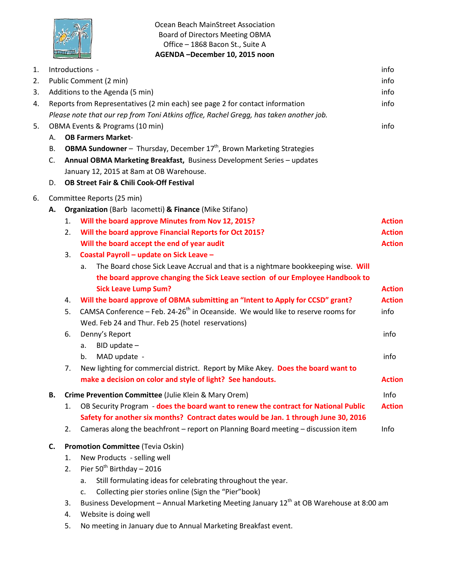

Ocean Beach MainStreet Association Board of Directors Meeting OBMA Office – 1868 Bacon St., Suite A **AGENDA –December 10, 2015 noon**

| 1. |                                                                                        |                                                     | Introductions -                                                                                     | info          |  |  |
|----|----------------------------------------------------------------------------------------|-----------------------------------------------------|-----------------------------------------------------------------------------------------------------|---------------|--|--|
| 2. |                                                                                        |                                                     | Public Comment (2 min)                                                                              | info          |  |  |
| 3. |                                                                                        |                                                     | Additions to the Agenda (5 min)                                                                     | info          |  |  |
| 4. | Reports from Representatives (2 min each) see page 2 for contact information<br>info   |                                                     |                                                                                                     |               |  |  |
|    | Please note that our rep from Toni Atkins office, Rachel Gregg, has taken another job. |                                                     |                                                                                                     |               |  |  |
| 5. | OBMA Events & Programs (10 min)<br>info                                                |                                                     |                                                                                                     |               |  |  |
|    | <b>OB Farmers Market-</b><br>А.                                                        |                                                     |                                                                                                     |               |  |  |
|    | В.                                                                                     |                                                     | <b>OBMA Sundowner</b> - Thursday, December $17th$ , Brown Marketing Strategies                      |               |  |  |
|    | C.                                                                                     |                                                     | Annual OBMA Marketing Breakfast, Business Development Series - updates                              |               |  |  |
|    |                                                                                        |                                                     | January 12, 2015 at 8am at OB Warehouse.                                                            |               |  |  |
|    | D.                                                                                     | <b>OB Street Fair &amp; Chili Cook-Off Festival</b> |                                                                                                     |               |  |  |
| 6. | Committee Reports (25 min)                                                             |                                                     |                                                                                                     |               |  |  |
|    | А.                                                                                     |                                                     | Organization (Barb Iacometti) & Finance (Mike Stifano)                                              |               |  |  |
|    |                                                                                        | 1.                                                  | Will the board approve Minutes from Nov 12, 2015?                                                   | <b>Action</b> |  |  |
|    |                                                                                        | 2.                                                  | Will the board approve Financial Reports for Oct 2015?                                              | <b>Action</b> |  |  |
|    |                                                                                        |                                                     | Will the board accept the end of year audit                                                         | <b>Action</b> |  |  |
|    |                                                                                        | 3.                                                  | Coastal Payroll - update on Sick Leave -                                                            |               |  |  |
|    |                                                                                        |                                                     | The Board chose Sick Leave Accrual and that is a nightmare bookkeeping wise. Will<br>a.             |               |  |  |
|    |                                                                                        |                                                     | the board approve changing the Sick Leave section of our Employee Handbook to                       |               |  |  |
|    |                                                                                        |                                                     | <b>Sick Leave Lump Sum?</b>                                                                         | <b>Action</b> |  |  |
|    |                                                                                        | 4.                                                  | Will the board approve of OBMA submitting an "Intent to Apply for CCSD" grant?                      | <b>Action</b> |  |  |
|    |                                                                                        | 5.                                                  | CAMSA Conference - Feb. 24-26 <sup>th</sup> in Oceanside. We would like to reserve rooms for        | info          |  |  |
|    |                                                                                        |                                                     | Wed. Feb 24 and Thur. Feb 25 (hotel reservations)                                                   |               |  |  |
|    |                                                                                        | 6.                                                  | Denny's Report                                                                                      | info          |  |  |
|    |                                                                                        |                                                     | $BID$ update $-$<br>a.                                                                              |               |  |  |
|    |                                                                                        |                                                     | MAD update -<br>b.                                                                                  | info          |  |  |
|    |                                                                                        | 7.                                                  | New lighting for commercial district. Report by Mike Akey. Does the board want to                   |               |  |  |
|    |                                                                                        |                                                     | make a decision on color and style of light? See handouts.                                          | <b>Action</b> |  |  |
|    | В.                                                                                     |                                                     | Crime Prevention Committee (Julie Klein & Mary Orem)                                                | Info          |  |  |
|    |                                                                                        | 1.                                                  | OB Security Program - does the board want to renew the contract for National Public                 | <b>Action</b> |  |  |
|    |                                                                                        |                                                     | Safety for another six months? Contract dates would be Jan. 1 through June 30, 2016                 |               |  |  |
|    |                                                                                        | 2.                                                  | Cameras along the beachfront - report on Planning Board meeting - discussion item                   | Info          |  |  |
|    | C.                                                                                     |                                                     | <b>Promotion Committee (Tevia Oskin)</b>                                                            |               |  |  |
|    |                                                                                        | 1.                                                  | New Products - selling well                                                                         |               |  |  |
|    |                                                                                        | 2.                                                  | Pier 50 <sup>th</sup> Birthday - 2016                                                               |               |  |  |
|    |                                                                                        |                                                     | Still formulating ideas for celebrating throughout the year.<br>a.                                  |               |  |  |
|    |                                                                                        |                                                     | Collecting pier stories online (Sign the "Pier"book)<br>c.                                          |               |  |  |
|    |                                                                                        | 3.                                                  | Business Development - Annual Marketing Meeting January 12 <sup>th</sup> at OB Warehouse at 8:00 am |               |  |  |
|    |                                                                                        | 4.                                                  | Website is doing well                                                                               |               |  |  |

5. No meeting in January due to Annual Marketing Breakfast event.